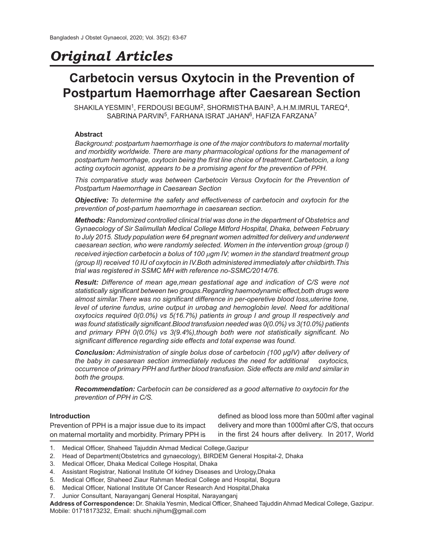# *Original Articles*

# **Carbetocin versus Oxytocin in the Prevention of Postpartum Haemorrhage after Caesarean Section**

 $SHAKILA YESMIN<sup>1</sup>, FERDOUSI BEGUM<sup>2</sup>, SHORMISTHA BAIN<sup>3</sup>, A.H.M.IMRUL TAREQ<sup>4</sup>,$  $S$ ABRINA PARVIN $^5$ , FARHANA ISRAT JAHAN $^6$ , HAFIZA FARZANA $^7$ 

# **Abstract**

*Background: postpartum haemorrhage is one of the major contributors to maternal mortality and morbidity worldwide. There are many pharmacological options for the management of postpartum hemorrhage, oxytocin being the first line choice of treatment.Carbetocin, a long acting oxytocin agonist, appears to be a promising agent for the prevention of PPH.*

*This comparative study was between Carbetocin Versus Oxytocin for the Prevention of Postpartum Haemorrhage in Caesarean Section*

*Objective: To determine the safety and effectiveness of carbetocin and oxytocin for the prevention of post-partum haemorrhage in caesarean section.*

*Methods: Randomized controlled clinical trial was done in the department of Obstetrics and Gynaecology of Sir Salimullah Medical College Mitford Hospital, Dhaka, between February to July 2015. Study population were 64 pregnant women admitted for delivery and underwent caesarean section, who were randomly selected. Women in the intervention group (group I) received injection carbetocin a bolus of 100 µgm IV; women in the standard treatment group (group II) received 10 IU of oxytocin in IV.Both administered immediately after chiidbirth.This trial was registered in SSMC MH with reference no-SSMC/2014/76.*

*Result: Difference of mean age,mean gestational age and indication of C/S were not statistically significant between two groups.Regarding haemodynamic effect,both drugs were almost similar.There was no significant difference in per-operetive blood loss,uterine tone, level of uterine fundus, urine output in urobag and hemoglobin level. Need for additional oxytocics required 0(0.0%) vs 5(16.7%) patients in group I and group II respectively and was found statistically significant.Blood transfusion needed was 0(0.0%) vs 3(10.0%) patients and primary PPH 0(0.0%) vs 3(9.4%),though both were not statistically significant. No significant difference regarding side effects and total expense was found.*

*Conclusion: Administration of single bolus dose of carbetocin (100 µgIV) after delivery of the baby in caesarean section immediately reduces the need for additional oxytocics, occurrence of primary PPH and further blood transfusion. Side effects are mild and similar in both the groups.*

*Recommendation: Carbetocin can be considered as a good alternative to oxytocin for the prevention of PPH in C/S.*

# **Introduction**

Prevention of PPH is a major issue due to its impact on maternal mortality and morbidity. Primary PPH is

defined as blood loss more than 500ml after vaginal delivery and more than 1000ml after C/S, that occurs in the first 24 hours after delivery. In 2017, World

- 1. Medical Officer, Shaheed Tajuddin Ahmad Medical College,Gazipur
- 2. Head of Department(Obstetrics and gynaecology), BIRDEM General Hospital-2, Dhaka
- 3. Medical Officer, Dhaka Medical College Hospital, Dhaka
- 4. Assistant Registrar, National Institute Of kidney Diseases and Urology,Dhaka
- 5. Medical Officer, Shaheed Ziaur Rahman Medical College and Hospital, Bogura
- 6. Medical Officer, National Institute Of Cancer Research And Hospital,Dhaka
- 7. Junior Consultant, Narayanganj General Hospital, Narayanganj

**Address of Correspondence:** Dr. Shakila Yesmin, Medical Officer, Shaheed Tajuddin Ahmad Medical College, Gazipur. Mobile: 01718173232, Email: shuchi.nijhum@gmail.com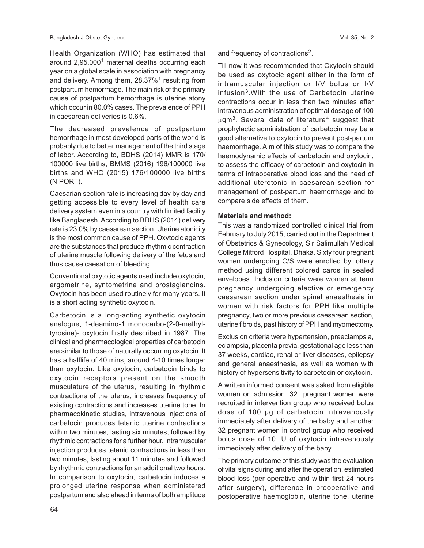Health Organization (WHO) has estimated that around 2,95,000<sup>1</sup> maternal deaths occurring each year on a global scale in association with pregnancy and delivery. Among them, 28.37%<sup>1</sup> resulting from postpartum hemorrhage. The main risk of the primary cause of postpartum hemorrhage is uterine atony which occur in 80.0% cases. The prevalence of PPH in caesarean deliveries is 0.6%.

The decreased prevalence of postpartum hemorrhage in most developed parts of the world is probably due to better management of the third stage of labor. According to, BDHS (2014) MMR is 170/ 100000 live births, BMMS (2016) 196/100000 live births and WHO (2015) 176/100000 live births (NIPORT).

Caesarian section rate is increasing day by day and getting accessible to every level of health care delivery system even in a country with limited facility like Bangladesh. According to BDHS (2014) delivery rate is 23.0% by caesarean section. Uterine atonicity is the most common cause of PPH. Oxytocic agents are the substances that produce rhythmic contraction of uterine muscle following delivery of the fetus and thus cause caesation of bleeding.

Conventional oxytotic agents used include oxytocin, ergometrine, syntometrine and prostaglandins. Oxytocin has been used routinely for many years. It is a short acting synthetic oxytocin.

Carbetocin is a long-acting synthetic oxytocin analogue, 1-deamino-1 monocarbo-(2-0-methyltyrosine)- oxytocin firstly described in 1987. The clinical and pharmacological properties of carbetocin are similar to those of naturally occurring oxytocin. It has a halflife of 40 mins, around 4-10 times longer than oxytocin. Like oxytocin, carbetocin binds to oxytocin receptors present on the smooth musculature of the uterus, resulting in rhythmic contractions of the uterus, increases frequency of existing contractions and increases uterine tone. In pharmacokinetic studies, intravenous injections of carbetocin produces tetanic uterine contractions within two minutes, lasting six minutes, followed by rhythmic contractions for a further hour. Intramuscular injection produces tetanic contractions in less than two minutes, lasting about 11 minutes and followed by rhythmic contractions for an additional two hours. In comparison to oxytocin, carbetocin induces a prolonged uterine response when administered postpartum and also ahead in terms of both amplitude

and frequency of contractions<sup>2</sup>.

Till now it was recommended that Oxytocin should be used as oxytocic agent either in the form of intramuscular injection or I/V bolus or I/V infusion<sup>3</sup> .With the use of Carbetocin uterine contractions occur in less than two minutes after intravenous administration of optimal dosage of 100  $\mu$ gm $^3$ . Several data of literature $^4$  suggest that prophylactic administration of carbetocin may be a good alternative to oxytocin to prevent post-partum haemorrhage. Aim of this study was to compare the haemodynamic effects of carbetocin and oxytocin, to assess the efficacy of carbetocin and oxytocin in terms of intraoperative blood loss and the need of additional uterotonic in caesarean section for management of post-partum haemorrhage and to compare side effects of them.

#### **Materials and method:**

This was a randomized controlled clinical trial from February to July 2015, carried out in the Department of Obstetrics & Gynecology, Sir Salimullah Medical College Mitford Hospital, Dhaka. Sixty four pregnant women undergoing C/S were enrolled by lottery method using different colored cards in sealed envelopes. Inclusion criteria were women at term pregnancy undergoing elective or emergency caesarean section under spinal anaesthesia in women with risk factors for PPH like multiple pregnancy, two or more previous caesarean section, uterine fibroids, past history of PPH and myomectomy.

Exclusion criteria were hypertension, preeclampsia, eclampsia, placenta previa, gestational age less than 37 weeks, cardiac, renal or liver diseases, epilepsy and general anaesthesia, as well as women with history of hypersensitivity to carbetocin or oxytocin.

A written informed consent was asked from eligible women on admission. 32 pregnant women were recruited in intervention group who received bolus dose of 100 µg of carbetocin intravenously immediately after delivery of the baby and another 32 pregnant women in control group who received bolus dose of 10 IU of oxytocin intravenously immediately after delivery of the baby.

The primary outcome of this study was the evaluation of vital signs during and after the operation, estimated blood loss (per operative and within first 24 hours after surgery), difference in preoperative and postoperative haemoglobin, uterine tone, uterine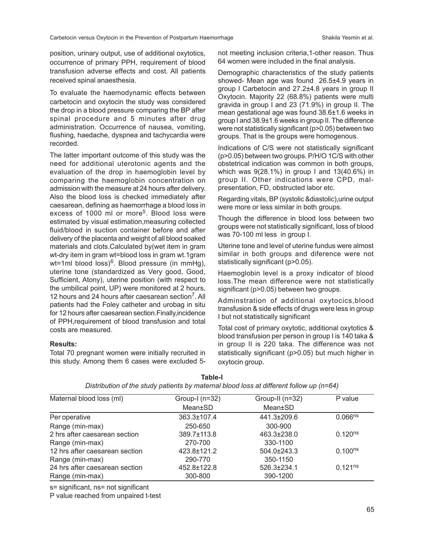position, urinary output, use of additional oxytotics, occurrence of primary PPH, requirement of blood transfusion adverse effects and cost. All patients received spinal anaesthesia.

To evaluate the haemodynamic effects between carbetocin and oxytocin the study was considered the drop in a blood pressure comparing the BP after spinal procedure and 5 minutes after drug administration. Occurrence of nausea, vomiting, flushing, haedache, dyspnea and tachycardia were recorded.

The latter important outcome of this study was the need for additional uterotonic agents and the evaluation of the drop in haemoglobin level by comparing the haemoglobin concentration on admission with the measure at 24 hours after delivery. Also the blood loss is checked immediately after caesarean, defining as haemorrhage a blood loss in excess of 1000 ml or more<sup>5</sup>. Blood loss were estimated by visual estimation,measuring collected fluid/blood in suction container before and after delivery of the placenta and weight of all blood soaked materials and clots.Calculated by(wet item in gram wt-dry item in gram wt=blood loss in gram wt.1gram wt=1ml blood loss)<sup>6</sup>. Blood pressure (in mmHg), uterine tone (standardized as Very good, Good, Sufficient, Atony), uterine position (with respect to the umbilical point, UP) were monitored at 2 hours, 12 hours and 24 hours after caesarean section<sup>7</sup>. All patients had the Foley catheter and urobag in situ for 12 hours after caesarean section.Finally,incidence of PPH,requirement of blood transfusion and total costs are measured.

#### **Results:**

Total 70 pregnant women were initially recruited in this study. Among them 6 cases were excluded 5not meeting inclusion criteria,1-other reason. Thus 64 women were included in the final analysis.

Demographic characteristics of the study patients showed- Mean age was found 26.5±4.9 years in group I Carbetocin and 27.2±4.8 years in group II Oxytocin. Majority 22 (68.8%) patients were multi gravida in group I and 23 (71.9%) in group II. The mean gestational age was found 38.6±1.6 weeks in group I and 38.9±1.6 weeks in group II. The difference were not statistically significant (p>0.05) between two groups. That is the groups were homogenous.

Indications of C/S were not statistically significant (p>0.05) between two groups. P/H/O 1C/S with other obstetrical indication was common in both groups, which was 9(28.1%) in group I and 13(40.6%) in group II. Other indications were CPD, malpresentation, FD, obstructed labor etc.

Regarding vitals, BP (systolic &diastolic),urine output were more or less similar in both groups.

Though the difference in blood loss between two groups were not statistically significant, loss of blood was 70-100 ml less in group I.

Uterine tone and level of uterine fundus were almost similar in both groups and diference were not statistically significant (p>0.05).

Haemoglobin level is a proxy indicator of blood loss.The mean difference were not statistically significant (p>0.05) between two groups.

Adminstration of additional oxytocics,blood transfusion & side effects of drugs were less in group I but not statistically significant

Total cost of primary oxytotic, additional oxytotics & blood transfusion per person in group I is 140 taka & in group II is 220 taka. The difference was not statistically significant (p>0.05) but much higher in oxytocin group.

| Maternal blood loss (ml)       | Group-I $(n=32)$ | Group-II (n=32) | P value      |  |
|--------------------------------|------------------|-----------------|--------------|--|
|                                |                  |                 |              |  |
|                                | Mean±SD          | Mean±SD         |              |  |
| Per operative                  | 363.3±107.4      | 441.3±209.6     | $0.066^{ns}$ |  |
| Range (min-max)                | 250-650          | 300-900         |              |  |
| 2 hrs after caesarean section  | 389.7±113.8      | 463.3±238.0     | $0.120^{ns}$ |  |
| Range (min-max)                | 270-700          | 330-1100        |              |  |
| 12 hrs after caesarean section | 423.8±121.2      | 504.0±243.3     | $0.100^{ns}$ |  |
| Range (min-max)                | 290-770          | 350-1150        |              |  |
| 24 hrs after caesarean section | 452.8±122.8      | 526.3±234.1     | $0.121^{ns}$ |  |
| Range (min-max)                | 300-800          | 390-1200        |              |  |

**Table-I** *Distribution of the study patients by maternal blood loss at different follow up (n=64)*

s= significant, ns= not significant

P value reached from unpaired t-test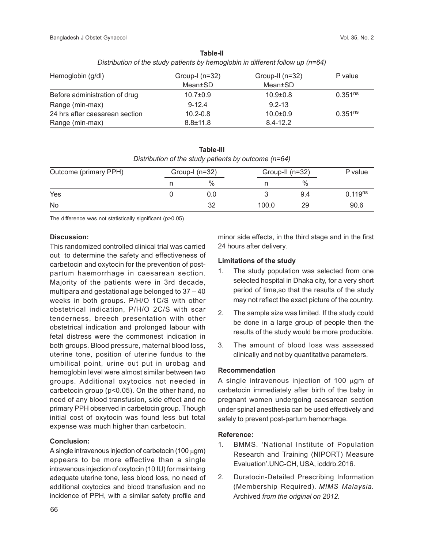| Hemoglobin (g/dl)              | Group-I $(n=32)$ | Group-II $(n=32)$ | P value      |  |  |  |  |
|--------------------------------|------------------|-------------------|--------------|--|--|--|--|
|                                | Mean±SD          | Mean±SD           |              |  |  |  |  |
| Before administration of drug  | $10.7 \pm 0.9$   | $10.9 \pm 0.8$    | $0.351^{ns}$ |  |  |  |  |
| Range (min-max)                | $9 - 12.4$       | $9.2 - 13$        |              |  |  |  |  |
| 24 hrs after caesarean section | $10.2 - 0.8$     | $10.0 + 0.9$      | $0.351^{ns}$ |  |  |  |  |
| Range (min-max)                | $8.8 \pm 11.8$   | $8.4 - 12.2$      |              |  |  |  |  |

**Table-II** *Distribution of the study patients by hemoglobin in different follow up (n=64)*

**Table-III** *Distribution of the study patients by outcome (n=64)*

| Outcome (primary PPH) | Group-I $(n=32)$ |       | Group-II (n=32) |                     |
|-----------------------|------------------|-------|-----------------|---------------------|
|                       | $\%$             |       | $\%$            |                     |
| Yes                   | 0.0              |       | 9.4             | 0.119 <sup>ns</sup> |
| No                    | つ                | 100.0 | 29              | 90.6                |

The difference was not statistically significant (p>0.05)

#### **Discussion:**

This randomized controlled clinical trial was carried out to determine the safety and effectiveness of carbetocin and oxytocin for the prevention of postpartum haemorrhage in caesarean section. Majority of the patients were in 3rd decade, multipara and gestational age belonged to 37 – 40 weeks in both groups. P/H/O 1C/S with other obstetrical indication, P/H/O 2C/S with scar tenderness, breech presentation with other obstetrical indication and prolonged labour with fetal distress were the commonest indication in both groups. Blood pressure, maternal blood loss, uterine tone, position of uterine fundus to the umbilical point, urine out put in urobag and hemoglobin level were almost similar between two groups. Additional oxytocics not needed in carbetocin group (p<0.05). On the other hand, no need of any blood transfusion, side effect and no primary PPH observed in carbetocin group. Though initial cost of oxytocin was found less but total expense was much higher than carbetocin.

# **Conclusion:**

A single intravenous injection of carbetocin (100  $\mu$ gm) appears to be more effective than a single intravenous injection of oxytocin (10 IU) for maintaing adequate uterine tone, less blood loss, no need of additional oxytocics and blood transfusion and no incidence of PPH, with a similar safety profile and

minor side effects, in the third stage and in the first 24 hours after delivery.

# **Limitations of the study**

- 1. The study population was selected from one selected hospital in Dhaka city, for a very short period of time,so that the results of the study may not reflect the exact picture of the country.
- 2. The sample size was limited. If the study could be done in a large group of people then the results of the study would be more producible.
- 3. The amount of blood loss was assessed clinically and not by quantitative parameters.

# **Recommendation**

A single intravenous injection of 100  $\mu$ gm of carbetocin immediately after birth of the baby in pregnant women undergoing caesarean section under spinal anesthesia can be used effectively and safely to prevent post-partum hemorrhage.

# **Reference:**

- 1. BMMS. 'National Institute of Population Research and Training (NIPORT) Measure Evaluation'.UNC-CH, USA, icddrb.2016.
- 2. Duratocin-Detailed Prescribing Information (Membership Required)*. MIMS Malaysia.* Archived *from the original on 2012.*